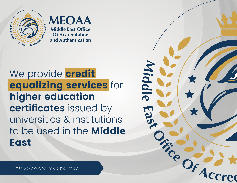

**MEOAA Middle East Office Of Accreditation** and Authentication

# We provide **credit** equalizing services for **higher education certificates** issued by universities & institutions to be used in the Middle **East**

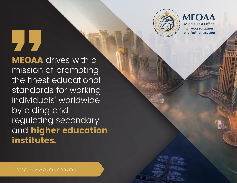

**MEOAA Middle East Office** Of Accred<sub>i</sub>tation and Authentication

**MEOAA** drives with a mission of promoting the finest educational standards for working individuals' worldwide by aiding and regulating secondary and **higher education** institutes.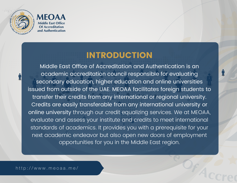



#### INTRODUCTION

Middle East Office of Accreditation and Authentication is an academic accreditation council responsible for evaluating secondary education, higher education and online universities issued from outside of the UAE. MEOAA facilitates foreign students to transfer their credits from any international or regional university. Credits are easily transferable from any international university or online university through our credit equalizing services. We at MEOAA, evaluate and assess your institute and credits to meet international standards of academics. It provides you with a prerequisite for your next academic endeavor but also open new doors of employment opportunities for you in the Middle East region.

http://www.meoaa.me/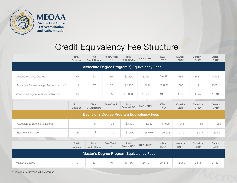

### Credit Equivalency Fee Structure

|                                                   | Total<br>Courses        | Total<br><b>Credit Hours</b> | Fees/Credit<br>Hr | Total<br>Fees in USD | UAE - DHR* | KSA-<br>RYL*    | Kuwait -<br>DNR* | Bahrain -<br>BHD <sup>*</sup> | Qatar -<br>$QAR*$  |  |  |
|---------------------------------------------------|-------------------------|------------------------------|-------------------|----------------------|------------|-----------------|------------------|-------------------------------|--------------------|--|--|
| Associate Degree Program(s) Equivalency Fees      |                         |                              |                   |                      |            |                 |                  |                               |                    |  |  |
| Associate of Arts Degree                          | 10                      | 60                           | 35                | \$2,250              | 8,265      | 8,438           | 683              | 848                           | 8,192              |  |  |
| Associate Degree (any professional school)        | 13                      | 78                           | 35                | \$2,950              | 10,836     | 11,062          | 896              | 1,112                         | 10,742             |  |  |
| Associate Degree (with specialization)            | 16                      | 96                           | 35                | \$3,600              | 13,223     | 13,500          | 1,093            | 1,357                         | 13,108             |  |  |
|                                                   | <b>Total</b><br>Courses | Total<br><b>Credit Hours</b> | Fees/Credit<br>Hr | Total<br>Fees in USD | UAE - DHR* | KSA-<br>RYL*    | Kuwait -<br>DNR* | Bahrain -<br>BHD <sup>*</sup> | Qatar -<br>$QAR^*$ |  |  |
| <b>Bachelor's Degree Program Equivalency Fees</b> |                         |                              |                   |                      |            |                 |                  |                               |                    |  |  |
| Associate to Bachelor's Degree                    | 14                      | 84                           | 35                | \$3,100              | 11,387     | 11,625          | 941              | 1,168                         | 11,288             |  |  |
| Bachelor's Degree                                 | 24                      | 144                          | 35                | \$7,100              | 26,079     | 26,628          | 2,157            | 2,677                         | 25,851             |  |  |
|                                                   | Total<br>Courses        | Total<br><b>Credit Hours</b> | Fees/Credit<br>Hr | Total<br>Fees in USD | UAE - DHR* | KSA-<br>$RYL^*$ | Kuwait -<br>DNR* | Bahrain -<br>BHD*             | Qatar -<br>QAR*    |  |  |
| <b>Master's Degree Program Equivalency Fees</b>   |                         |                              |                   |                      |            |                 |                  |                               |                    |  |  |
| Master's Degree                                   | 10                      | 60                           | 70                | \$6,750              | 24,794     | 25,315          | 2,050            | 2,545                         | 24,577             |  |  |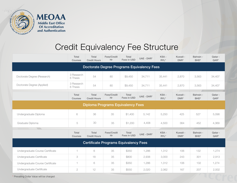

### Credit Equivalency Fee Structure

|                                                   | Total<br>Courses       | Total<br><b>Credit Hours</b>        | Fees/Credit<br>Hr | Total<br>Fees in USD | UAE - DHR* | KSA-<br>RYL* | Kuwait -<br>DNR* | Bahrain -<br>BHD*             | Qatar -<br>$QAR*$ |  |  |
|---------------------------------------------------|------------------------|-------------------------------------|-------------------|----------------------|------------|--------------|------------------|-------------------------------|-------------------|--|--|
| <b>Doctorate Degree Programs Equivalency Fees</b> |                        |                                     |                   |                      |            |              |                  |                               |                   |  |  |
| Doctorate Degree (Research)                       | 3 Research<br>6 Thesis | 54                                  | 80                | \$9,450              | 34,711     | 35.441       | 2,870            | 3,563                         | 34,407            |  |  |
| Doctorate Degree (Applied)                        | 3 Research<br>6 Thesis | 54                                  | 80                | \$9,450              | 34,711     | 35,441       | 2,870            | 3,563                         | 34,407            |  |  |
|                                                   | Total<br>Courses       | Total<br><b>Credit Hours</b>        | Fees/Credit<br>Hr | Total<br>Fees in USD | UAE - DHR* | KSA-<br>RYL* | Kuwait -<br>DNR* | Bahrain -<br>BHD <sup>*</sup> | Qatar -<br>$QAR*$ |  |  |
| <b>Diploma Programs Equivalency Fees</b>          |                        |                                     |                   |                      |            |              |                  |                               |                   |  |  |
| Undergraduate Diploma                             | 6                      | 36                                  | 35                | \$1,400              | 5,142      | 5,250        | 425              | 527                           | 5,098             |  |  |
| Graduate Diploma                                  | 5                      | 30                                  | 35                | \$1,200              | 4,408      | 4,500        | 364              | 452                           | 4,369             |  |  |
|                                                   | Total<br>Courses       | <b>Total</b><br><b>Credit Hours</b> | Fees/Credit<br>Hr | Total<br>Fees in USD | UAE - DHR* | KSA-<br>RYL* | Kuwait -<br>DNR* | Bahrain -<br>BHD <sup>*</sup> | Qatar -<br>$QAR*$ |  |  |
| <b>Certificate Programs Equivalency Fees</b>      |                        |                                     |                   |                      |            |              |                  |                               |                   |  |  |
| Undergraduate Course Certificate                  | $\mathbf{1}$           | 6                                   | 35                | \$350                | 1,286      | 1,312        | 106              | 132                           | 1,274             |  |  |
| Undergraduate Certificate                         | 3                      | 18                                  | 35                | \$800                | 2,938      | 3,000        | 243              | 301                           | 2,913             |  |  |
| Undergraduate Course Certificate                  | 1.                     | 6                                   | 35                | \$350                | 1,286      | 1,312        | 106              | 132                           | 1,274             |  |  |
| Undergraduate Certificate                         | $\overline{2}$         | 12                                  | 35                | \$550                | 2,020      | 2,062        | 167              | 207                           | 2,002             |  |  |

\* Prevailing Dollar Value will be charged